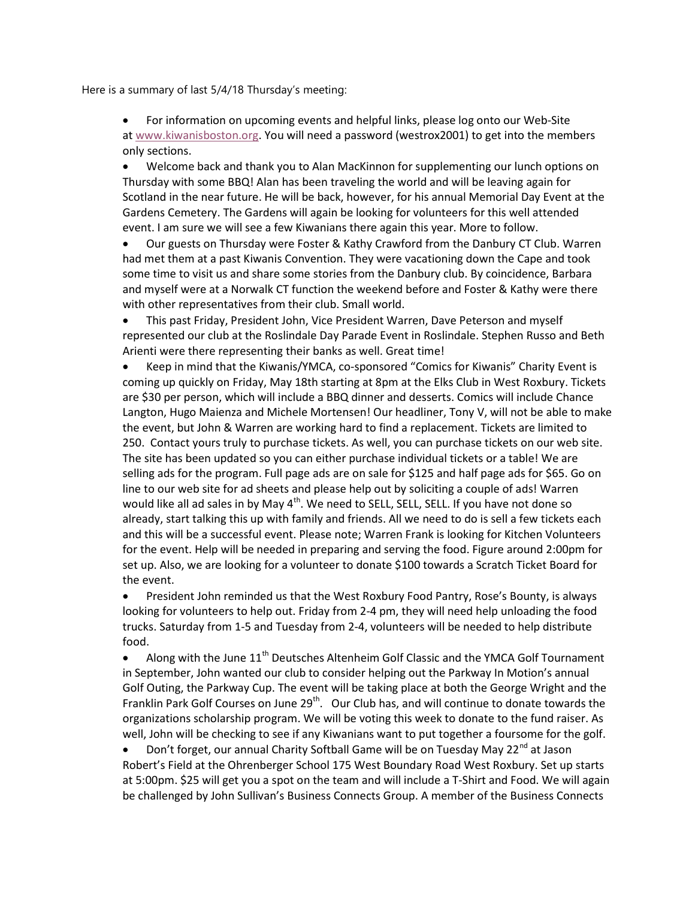Here is a summary of last 5/4/18 Thursday's meeting:

 For information on upcoming events and helpful links, please log onto our Web-Site at www.kiwanisboston.org. You will need a password (westrox2001) to get into the members only sections.

 Welcome back and thank you to Alan MacKinnon for supplementing our lunch options on Thursday with some BBQ! Alan has been traveling the world and will be leaving again for Scotland in the near future. He will be back, however, for his annual Memorial Day Event at the Gardens Cemetery. The Gardens will again be looking for volunteers for this well attended event. I am sure we will see a few Kiwanians there again this year. More to follow.

 Our guests on Thursday were Foster & Kathy Crawford from the Danbury CT Club. Warren had met them at a past Kiwanis Convention. They were vacationing down the Cape and took some time to visit us and share some stories from the Danbury club. By coincidence, Barbara and myself were at a Norwalk CT function the weekend before and Foster & Kathy were there with other representatives from their club. Small world.

 This past Friday, President John, Vice President Warren, Dave Peterson and myself represented our club at the Roslindale Day Parade Event in Roslindale. Stephen Russo and Beth Arienti were there representing their banks as well. Great time!

 Keep in mind that the Kiwanis/YMCA, co-sponsored "Comics for Kiwanis" Charity Event is coming up quickly on Friday, May 18th starting at 8pm at the Elks Club in West Roxbury. Tickets are \$30 per person, which will include a BBQ dinner and desserts. Comics will include Chance Langton, Hugo Maienza and Michele Mortensen! Our headliner, Tony V, will not be able to make the event, but John & Warren are working hard to find a replacement. Tickets are limited to 250. Contact yours truly to purchase tickets. As well, you can purchase tickets on our web site. The site has been updated so you can either purchase individual tickets or a table! We are selling ads for the program. Full page ads are on sale for \$125 and half page ads for \$65. Go on line to our web site for ad sheets and please help out by soliciting a couple of ads! Warren would like all ad sales in by May  $4^{th}$ . We need to SELL, SELL, SELL. If you have not done so already, start talking this up with family and friends. All we need to do is sell a few tickets each and this will be a successful event. Please note; Warren Frank is looking for Kitchen Volunteers for the event. Help will be needed in preparing and serving the food. Figure around 2:00pm for set up. Also, we are looking for a volunteer to donate \$100 towards a Scratch Ticket Board for the event.

 President John reminded us that the West Roxbury Food Pantry, Rose's Bounty, is always looking for volunteers to help out. Friday from 2-4 pm, they will need help unloading the food trucks. Saturday from 1-5 and Tuesday from 2-4, volunteers will be needed to help distribute food.

 $\bullet$  Along with the June  $11<sup>th</sup>$  Deutsches Altenheim Golf Classic and the YMCA Golf Tournament in September, John wanted our club to consider helping out the Parkway In Motion's annual Golf Outing, the Parkway Cup. The event will be taking place at both the George Wright and the Franklin Park Golf Courses on June 29<sup>th</sup>. Our Club has, and will continue to donate towards the organizations scholarship program. We will be voting this week to donate to the fund raiser. As well, John will be checking to see if any Kiwanians want to put together a foursome for the golf.

Don't forget, our annual Charity Softball Game will be on Tuesday May 22<sup>nd</sup> at Jason Robert's Field at the Ohrenberger School 175 West Boundary Road West Roxbury. Set up starts at 5:00pm. \$25 will get you a spot on the team and will include a T-Shirt and Food. We will again be challenged by John Sullivan's Business Connects Group. A member of the Business Connects